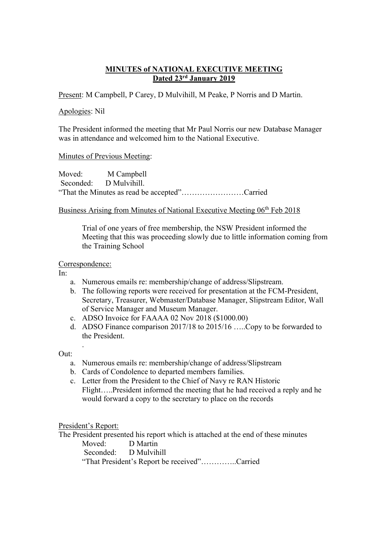## **MINUTES of NATIONAL EXECUTIVE MEETING Dated 23rd January 2019**

Present: M Campbell, P Carey, D Mulvihill, M Peake, P Norris and D Martin.

### Apologies: Nil

The President informed the meeting that Mr Paul Norris our new Database Manager was in attendance and welcomed him to the National Executive.

### Minutes of Previous Meeting:

Moved: M Campbell Seconded: D Mulvihill. "That the Minutes as read be accepted"……………………Carried

## Business Arising from Minutes of National Executive Meeting 06th Feb 2018

Trial of one years of free membership, the NSW President informed the Meeting that this was proceeding slowly due to little information coming from the Training School

## Correspondence:

In:

- a. Numerous emails re: membership/change of address/Slipstream.
- b. The following reports were received for presentation at the FCM-President, Secretary, Treasurer, Webmaster/Database Manager, Slipstream Editor, Wall of Service Manager and Museum Manager.
- c. ADSO Invoice for FAAAA 02 Nov 2018 (\$1000.00)
- d. ADSO Finance comparison 2017/18 to 2015/16 …..Copy to be forwarded to the President.

#### Out:

.

- a. Numerous emails re: membership/change of address/Slipstream
- b. Cards of Condolence to departed members families.
- c. Letter from the President to the Chief of Navy re RAN Historic Flight…..President informed the meeting that he had received a reply and he would forward a copy to the secretary to place on the records

President's Report:

The President presented his report which is attached at the end of these minutes

Moved: D Martin Seconded: D Mulvihill "That President's Report be received"…………..Carried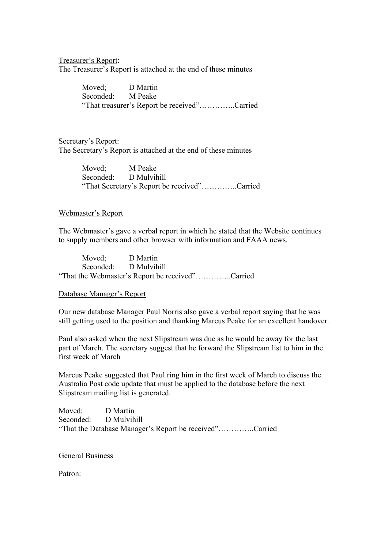Treasurer's Report:

The Treasurer's Report is attached at the end of these minutes

Moved; D Martin Seconded: M Peake "That treasurer's Report be received"…………..Carried

Secretary's Report: The Secretary's Report is attached at the end of these minutes

> Moved; M Peake Seconded: D Mulvihill "That Secretary's Report be received"…………..Carried

#### Webmaster's Report

The Webmaster's gave a verbal report in which he stated that the Website continues to supply members and other browser with information and FAAA news.

Moved; D Martin Seconded: D Mulvihill "That the Webmaster's Report be received"…………..Carried

#### Database Manager's Report

Our new database Manager Paul Norris also gave a verbal report saying that he was still getting used to the position and thanking Marcus Peake for an excellent handover.

Paul also asked when the next Slipstream was due as he would be away for the last part of March. The secretary suggest that he forward the Slipstream list to him in the first week of March

Marcus Peake suggested that Paul ring him in the first week of March to discuss the Australia Post code update that must be applied to the database before the next Slipstream mailing list is generated.

Moved: D Martin Seconded: D Mulvihill "That the Database Manager's Report be received"…………..Carried

General Business

Patron: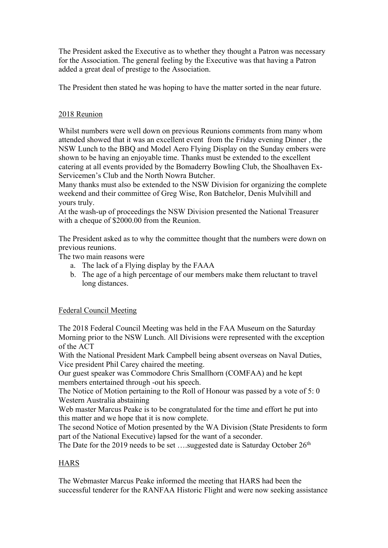The President asked the Executive as to whether they thought a Patron was necessary for the Association. The general feeling by the Executive was that having a Patron added a great deal of prestige to the Association.

The President then stated he was hoping to have the matter sorted in the near future.

# 2018 Reunion

Whilst numbers were well down on previous Reunions comments from many whom attended showed that it was an excellent event from the Friday evening Dinner , the NSW Lunch to the BBQ and Model Aero Flying Display on the Sunday embers were shown to be having an enjoyable time. Thanks must be extended to the excellent catering at all events provided by the Bomaderry Bowling Club, the Shoalhaven Ex-Servicemen's Club and the North Nowra Butcher.

Many thanks must also be extended to the NSW Division for organizing the complete weekend and their committee of Greg Wise, Ron Batchelor, Denis Mulvihill and yours truly.

At the wash-up of proceedings the NSW Division presented the National Treasurer with a cheque of \$2000.00 from the Reunion.

The President asked as to why the committee thought that the numbers were down on previous reunions.

The two main reasons were

- a. The lack of a Flying display by the FAAA
- b. The age of a high percentage of our members make them reluctant to travel long distances.

# Federal Council Meeting

The 2018 Federal Council Meeting was held in the FAA Museum on the Saturday Morning prior to the NSW Lunch. All Divisions were represented with the exception of the ACT

With the National President Mark Campbell being absent overseas on Naval Duties, Vice president Phil Carey chaired the meeting.

Our guest speaker was Commodore Chris Smallhorn (COMFAA) and he kept members entertained through -out his speech.

The Notice of Motion pertaining to the Roll of Honour was passed by a vote of 5: 0 Western Australia abstaining

Web master Marcus Peake is to be congratulated for the time and effort he put into this matter and we hope that it is now complete.

The second Notice of Motion presented by the WA Division (State Presidents to form part of the National Executive) lapsed for the want of a seconder.

The Date for the 2019 needs to be set ....suggested date is Saturday October  $26<sup>th</sup>$ 

# **HARS**

The Webmaster Marcus Peake informed the meeting that HARS had been the successful tenderer for the RANFAA Historic Flight and were now seeking assistance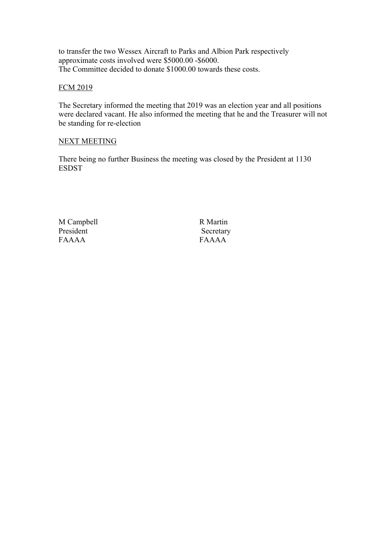to transfer the two Wessex Aircraft to Parks and Albion Park respectively approximate costs involved were \$5000.00 -\$6000. The Committee decided to donate \$1000.00 towards these costs.

## FCM 2019

The Secretary informed the meeting that 2019 was an election year and all positions were declared vacant. He also informed the meeting that he and the Treasurer will not be standing for re-election

### NEXT MEETING

There being no further Business the meeting was closed by the President at 1130 ESDST

M Campbell R Martin President Secretary FAAAA FAAAA FAAAA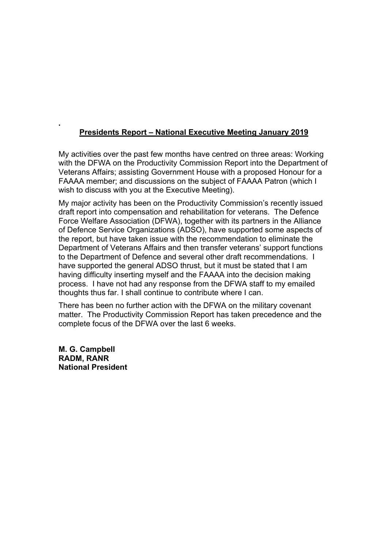# **Presidents Report – National Executive Meeting January 2019**

My activities over the past few months have centred on three areas: Working with the DFWA on the Productivity Commission Report into the Department of Veterans Affairs; assisting Government House with a proposed Honour for a FAAAA member; and discussions on the subject of FAAAA Patron (which I wish to discuss with you at the Executive Meeting).

My major activity has been on the Productivity Commission's recently issued draft report into compensation and rehabilitation for veterans. The Defence Force Welfare Association (DFWA), together with its partners in the Alliance of Defence Service Organizations (ADSO), have supported some aspects of the report, but have taken issue with the recommendation to eliminate the Department of Veterans Affairs and then transfer veterans' support functions to the Department of Defence and several other draft recommendations. I have supported the general ADSO thrust, but it must be stated that I am having difficulty inserting myself and the FAAAA into the decision making process. I have not had any response from the DFWA staff to my emailed thoughts thus far. I shall continue to contribute where I can.

There has been no further action with the DFWA on the military covenant matter. The Productivity Commission Report has taken precedence and the complete focus of the DFWA over the last 6 weeks.

**M. G. Campbell RADM, RANR National President**

**.**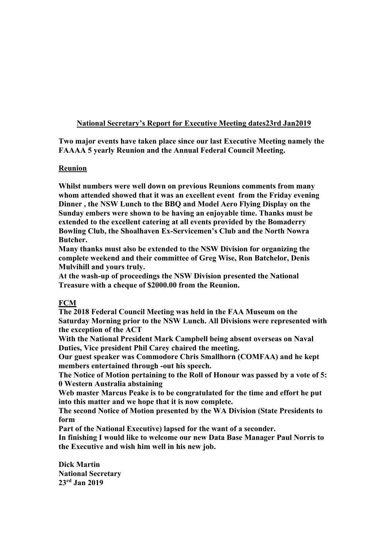# **National Secretary's Report for Executive Meeting dates23rd Jan2019**

**Two major events have taken place since our last Executive Meeting namely the FAAAA 5 yearly Reunion and the Annual Federal Council Meeting.**

## **Reunion**

**Whilst numbers were well down on previous Reunions comments from many whom attended showed that it was an excellent event from the Friday evening Dinner , the NSW Lunch to the BBQ and Model Aero Flying Display on the Sunday embers were shown to be having an enjoyable time. Thanks must be extended to the excellent catering at all events provided by the Bomaderry Bowling Club, the Shoalhaven Ex-Servicemen's Club and the North Nowra Butcher.**

**Many thanks must also be extended to the NSW Division for organizing the complete weekend and their committee of Greg Wise, Ron Batchelor, Denis Mulvihill and yours truly.**

**At the wash-up of proceedings the NSW Division presented the National Treasure with a cheque of \$2000.00 from the Reunion.**

# **FCM**

**The 2018 Federal Council Meeting was held in the FAA Museum on the Saturday Morning prior to the NSW Lunch. All Divisions were represented with the exception of the ACT**

**With the National President Mark Campbell being absent overseas on Naval Duties, Vice president Phil Carey chaired the meeting.** 

**Our guest speaker was Commodore Chris Smallhorn (COMFAA) and he kept members entertained through -out his speech.**

**The Notice of Motion pertaining to the Roll of Honour was passed by a vote of 5: 0 Western Australia abstaining**

**Web master Marcus Peake is to be congratulated for the time and effort he put into this matter and we hope that it is now complete.**

**The second Notice of Motion presented by the WA Division (State Presidents to form** 

**Part of the National Executive) lapsed for the want of a seconder.**

**In finishing I would like to welcome our new Data Base Manager Paul Norris to the Executive and wish him well in his new job.**

**Dick Martin National Secretary 23rd Jan 2019**